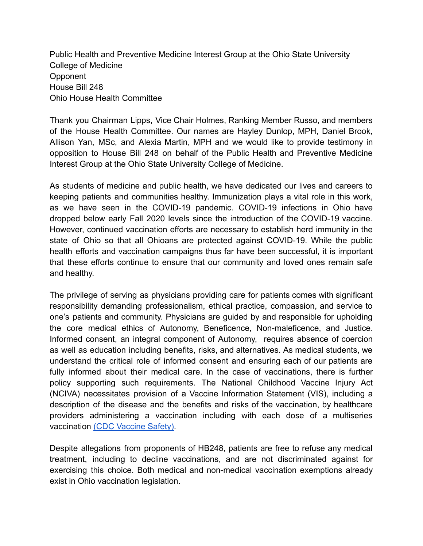Public Health and Preventive Medicine Interest Group at the Ohio State University College of Medicine **Opponent** House Bill 248 Ohio House Health Committee

Thank you Chairman Lipps, Vice Chair Holmes, Ranking Member Russo, and members of the House Health Committee. Our names are Hayley Dunlop, MPH, Daniel Brook, Allison Yan, MSc, and Alexia Martin, MPH and we would like to provide testimony in opposition to House Bill 248 on behalf of the Public Health and Preventive Medicine Interest Group at the Ohio State University College of Medicine.

As students of medicine and public health, we have dedicated our lives and careers to keeping patients and communities healthy. Immunization plays a vital role in this work, as we have seen in the COVID-19 pandemic. COVID-19 infections in Ohio have dropped below early Fall 2020 levels since the introduction of the COVID-19 vaccine. However, continued vaccination efforts are necessary to establish herd immunity in the state of Ohio so that all Ohioans are protected against COVID-19. While the public health efforts and vaccination campaigns thus far have been successful, it is important that these efforts continue to ensure that our community and loved ones remain safe and healthy.

The privilege of serving as physicians providing care for patients comes with significant responsibility demanding professionalism, ethical practice, compassion, and service to one's patients and community. Physicians are guided by and responsible for upholding the core medical ethics of Autonomy, Beneficence, Non-maleficence, and Justice. Informed consent, an integral component of Autonomy, requires absence of coercion as well as education including benefits, risks, and alternatives. As medical students, we understand the critical role of informed consent and ensuring each of our patients are fully informed about their medical care. In the case of vaccinations, there is further policy supporting such requirements. The National Childhood Vaccine Injury Act (NCIVA) necessitates provision of a Vaccine Information Statement (VIS), including a description of the disease and the benefits and risks of the vaccination, by healthcare providers administering a vaccination including with each dose of a multiseries vaccination [\(CDC Vaccine Safety\).](https://www.cdc.gov/vaccinesafety/ensuringsafety/history/index.html)

Despite allegations from proponents of HB248, patients are free to refuse any medical treatment, including to decline vaccinations, and are not discriminated against for exercising this choice. Both medical and non-medical vaccination exemptions already exist in Ohio vaccination legislation.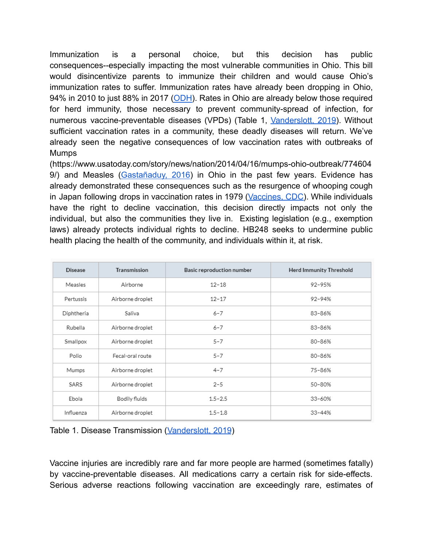Immunization is a personal choice, but this decision has public consequences--especially impacting the most vulnerable communities in Ohio. This bill would disincentivize parents to immunize their children and would cause Ohio's immunization rates to suffer. Immunization rates have already been dropping in Ohio, 94% in 2010 to just 88% in 2017 [\(ODH](https://odh.ohio.gov/wps/portal/gov/odh/know-our-programs/Immunization/Immunization-Rates)). Rates in Ohio are already below those required for herd immunity, those necessary to prevent community-spread of infection, for numerous vaccine-preventable diseases (VPDs) (Table 1, [Vanderslott,](https://ourworldindata.org/vaccination) 2019). Without sufficient vaccination rates in a community, these deadly diseases will return. We've already seen the negative consequences of low vaccination rates with outbreaks of **Mumps** 

(https://www.usatoday.com/story/news/nation/2014/04/16/mumps-ohio-outbreak/774604 9/) and Measles [\(Gastañaduy,](https://www.nejm.org/doi/full/10.1056/nejmoa1602295) 2016) in Ohio in the past few years. Evidence has already demonstrated these consequences such as the resurgence of whooping cough in Japan following drops in vaccination rates in 1979 [\(Vaccines,](https://www.cdc.gov/vaccines/vac-gen/whatifstop.htm) CDC). While individuals have the right to decline vaccination, this decision directly impacts not only the individual, but also the communities they live in. Existing legislation (e.g., exemption laws) already protects individual rights to decline. HB248 seeks to undermine public health placing the health of the community, and individuals within it, at risk.

| <b>Disease</b> | Transmission     | Basic reproduction number | <b>Herd Immunity Threshold</b> |
|----------------|------------------|---------------------------|--------------------------------|
| Measles        | Airborne         | $12 - 18$                 | 92-95%                         |
| Pertussis      | Airborne droplet | $12 - 17$                 | 92-94%                         |
| Diphtheria     | Saliva           | 6-7                       | 83-86%                         |
| Rubella        | Airborne droplet | 6-7                       | 83-86%                         |
| Smallpox       | Airborne droplet | $5 - 7$                   | 80-86%                         |
| Polio          | Fecal-oral route | $5 - 7$                   | 80-86%                         |
| Mumps          | Airborne droplet | $4 - 7$                   | 75-86%                         |
| SARS           | Airborne droplet | $2 - 5$                   | 50-80%                         |
| Ebola          | Bodily fluids    | $1.5 - 2.5$               | 33-60%                         |
| Influenza      | Airborne droplet | $1.5 - 1.8$               | 33-44%                         |

Table 1. Disease Transmission [\(Vanderslott, 2019](https://ourworldindata.org/vaccination))

Vaccine injuries are incredibly rare and far more people are harmed (sometimes fatally) by vaccine-preventable diseases. All medications carry a certain risk for side-effects. Serious adverse reactions following vaccination are exceedingly rare, estimates of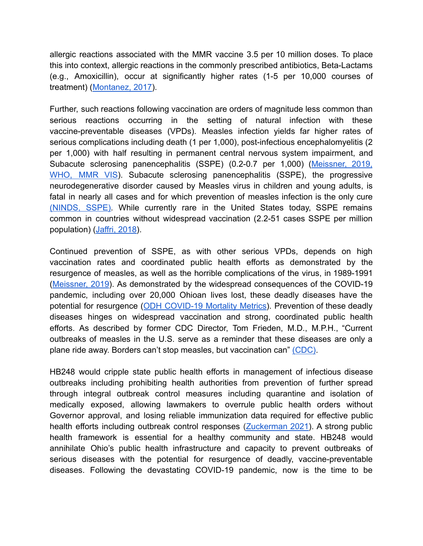allergic reactions associated with the MMR vaccine 3.5 per 10 million doses. To place this into context, allergic reactions in the commonly prescribed antibiotics, Beta-Lactams (e.g., Amoxicillin), occur at significantly higher rates (1-5 per 10,000 courses of treatment) ([Montanez, 2017](https://www.ncbi.nlm.nih.gov/pmc/articles/PMC5446992/)).

Further, such reactions following vaccination are orders of magnitude less common than serious reactions occurring in the setting of natural infection with these vaccine-preventable diseases (VPDs). Measles infection yields far higher rates of serious complications including death (1 per 1,000), post-infectious encephalomyelitis (2 per 1,000) with half resulting in permanent central nervous system impairment, and Subacute sclerosing panencephalitis (SSPE) (0.2-0.7 per 1,000) ([Meissner,](https://www.aappublications.org/news/2019/05/17/idsnapshot051719#:~:text=The%20more%20common%20complications%20associated,cases%20per%201%2C000%20measles%20cases).) 2019, [WHO,](https://cdn.who.int/media/docs/default-source/global-vaccine-safety/mmr-vaccine-rates-information-sheet.pdf?sfvrsn=f794694a_4&download=true) MMR VIS). Subacute sclerosing panencephalitis (SSPE), the progressive neurodegenerative disorder caused by Measles virus in children and young adults, is fatal in nearly all cases and for which prevention of measles infection is the only cure [\(NINDS,](https://www.ninds.nih.gov/Disorders/All-Disorders/Subacute-Sclerosing-Panencephalitis-Information-Page) SSPE). While currently rare in the United States today, SSPE remains common in countries without widespread vaccination (2.2-51 cases SSPE per million population) ([Jaffri, 2018\)](https://www.ncbi.nlm.nih.gov/pmc/articles/PMC6027681/).

Continued prevention of SSPE, as with other serious VPDs, depends on high vaccination rates and coordinated public health efforts as demonstrated by the resurgence of measles, as well as the horrible complications of the virus, in 1989-1991 ([Meissner,](https://www.aappublications.org/news/2019/05/17/idsnapshot051719) 2019). As demonstrated by the widespread consequences of the COVID-19 pandemic, including over 20,000 Ohioan lives lost, these deadly diseases have the potential for resurgence (ODH [COVID-19](https://coronavirus.ohio.gov/wps/portal/gov/covid-19/dashboards/key-metrics/mortality) Mortality Metrics). Prevention of these deadly diseases hinges on widespread vaccination and strong, coordinated public health efforts. As described by former CDC Director, Tom Frieden, M.D., M.P.H., "Current outbreaks of measles in the U.S. serve as a reminder that these diseases are only a plane ride away. Borders can't stop measles, but vaccination can" [\(CDC\)](https://www.cdc.gov/media/releases/2014/p0424-immunization-program.html).

HB248 would cripple state public health efforts in management of infectious disease outbreaks including prohibiting health authorities from prevention of further spread through integral outbreak control measures including quarantine and isolation of medically exposed, allowing lawmakers to overrule public health orders without Governor approval, and losing reliable immunization data required for effective public health efforts including outbreak control responses [\(Zuckerman](https://ohiocapitaljournal.com/2021/05/26/gop-governor-and-lawmakers-clash-over-vaccine-policy/) 2021). A strong public health framework is essential for a healthy community and state. HB248 would annihilate Ohio's public health infrastructure and capacity to prevent outbreaks of serious diseases with the potential for resurgence of deadly, vaccine-preventable diseases. Following the devastating COVID-19 pandemic, now is the time to be